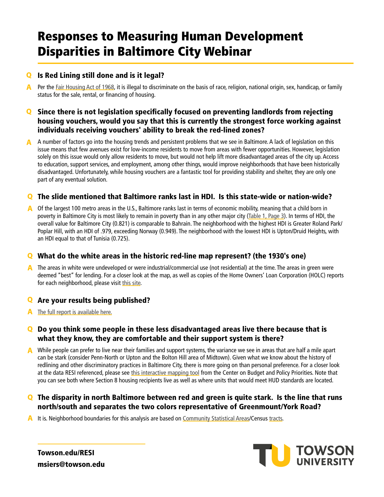# Responses to Measuring Human Development Disparities in Baltimore City Webinar

## **Q** Is Red Lining still done and is it legal?

**A** Per the [Fair Housing Act of 1968,](https://www.hud.gov/program_offices/fair_housing_equal_opp/aboutfheo/history) it is illegal to discriminate on the basis of race, religion, national origin, sex, handicap, or family status for the sale, rental, or financing of housing.

### Since there is not legislation specifically focused on preventing landlords from rejecting housing vouchers, would you say that this is currently the strongest force working against individuals receiving vouchers' ability to break the red-lined zones?

A A number of factors go into the housing trends and persistent problems that we see in Baltimore. A lack of legislation on this issue means that few avenues exist for low-income residents to move from areas with fewer opportunities. However, legislation solely on this issue would only allow residents to move, but would not help lift more disadvantaged areas of the city up. Access to education, support services, and employment, among other things, would improve neighborhoods that have been historically disadvantaged. Unfortunately, while housing vouchers are a fantastic tool for providing stability and shelter, they are only one part of any eventual solution.

### The slide mentioned that Baltimore ranks last in HDI. Is this state-wide or nation-wide?

A Of the largest 100 metro areas in the U.S., Baltimore ranks last in terms of economic mobility, meaning that a child born in poverty in Baltimore City is most likely to remain in poverty than in any other major city [\(Table 1, Page 3](http://www.equality-of-opportunity.org/images/nbhds_exec_summary.pdf)). In terms of HDI, the overall value for Baltimore City (0.821) is comparable to Bahrain. The neighborhood with the highest HDI is Greater Roland Park/ Poplar Hill, with an HDI of .979, exceeding Norway (0.949). The neighborhood with the lowest HDI is Upton/Druid Heights, with an HDI equal to that of Tunisia (0.725).

### What do the white areas in the historic red-line map represent? (the 1930's one)

A The areas in white were undeveloped or were industrial/commercial use (not residential) at the time. The areas in green were deemed "best" for lending. For a closer look at the map, as well as copies of the Home Owners' Loan Corporation (HOLC) reports for each neighborhood, please visit [this site.](https://dsl.richmond.edu/panorama/redlining/#loc=14/39.2834/-76.6357&opacity=0.8&city=baltimore-md)

### **Q** Are your results being published?

**A** [The full report is available here.](http://www.engagetu.com/wp-content/uploads/2018/07/Human-Development-Index-Disparities-in-Baltimore-City-2018.pdf)

### Q Do you think some people in these less disadvantaged areas live there because that is what they know, they are comfortable and their support system is there?

A While people can prefer to live near their families and support systems, the variance we see in areas that are half a mile apart can be stark (consider Penn-North or Upton and the Bolton Hill area of Midtown). Given what we know about the history of redlining and other discriminatory practices in Baltimore City, there is more going on than personal preference. For a closer look at the data RESI referenced, please see [this interactive mapping tool](https://www.cbpp.org/research/housing/interactive-map-where-voucher-households-live-in-the-50-largest-metropolitan-areas) from the Center on Budget and Policy Priorities. Note that you can see both where Section 8 housing recipients live as well as where units that would meet HUD standards are located.

### Q The disparity in north Baltimore between red and green is quite stark. Is the line that runs north/south and separates the two colors representative of Greenmount/York Road?

A It is. Neighborhood boundaries for this analysis are based on [Community Statistical Areas/](https://health.baltimorecity.gov/neighborhood-health-profile-reports)Census [tracts](https://data.baltimorecity.gov/Transportation/2010-Census-Tracts/27b4-qbwn).



[Towson.edu/RESI](https://www.towson.edu/campus/partnerships-research/economic-studies/) [msiers@towson.edu](mailto:msiers@towson.edu)